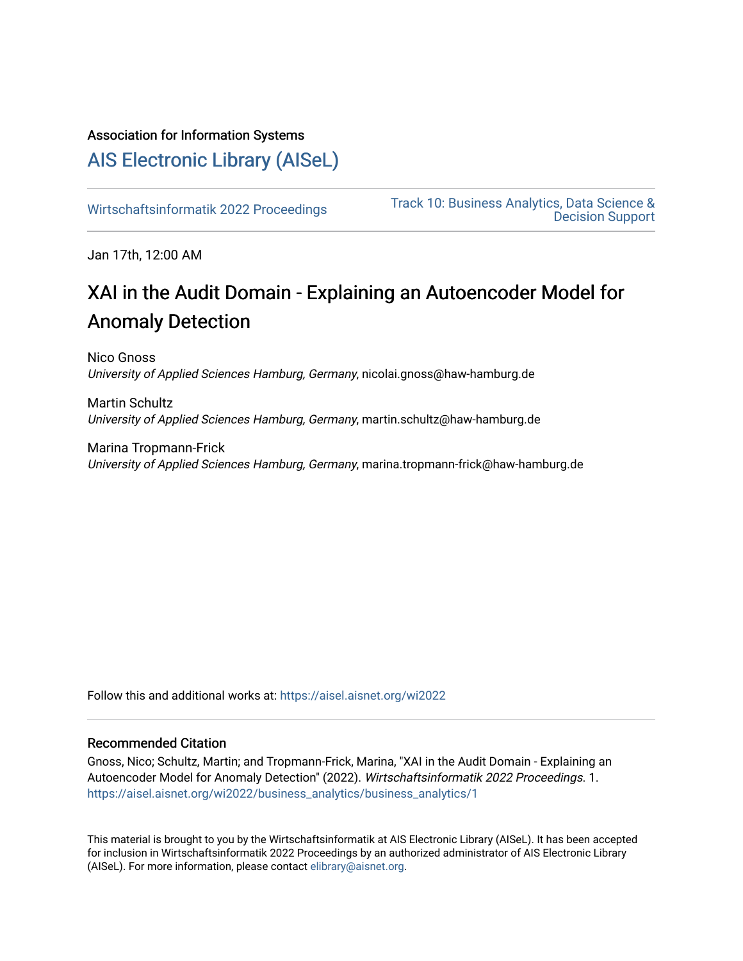### Association for Information Systems

## [AIS Electronic Library \(AISeL\)](https://aisel.aisnet.org/)

[Wirtschaftsinformatik 2022 Proceedings](https://aisel.aisnet.org/wi2022) [Track 10: Business Analytics, Data Science &](https://aisel.aisnet.org/wi2022/business_analytics)  [Decision Support](https://aisel.aisnet.org/wi2022/business_analytics) 

Jan 17th, 12:00 AM

# XAI in the Audit Domain - Explaining an Autoencoder Model for Anomaly Detection

Nico Gnoss University of Applied Sciences Hamburg, Germany, nicolai.gnoss@haw-hamburg.de

Martin Schultz University of Applied Sciences Hamburg, Germany, martin.schultz@haw-hamburg.de

Marina Tropmann-Frick University of Applied Sciences Hamburg, Germany, marina.tropmann-frick@haw-hamburg.de

Follow this and additional works at: [https://aisel.aisnet.org/wi2022](https://aisel.aisnet.org/wi2022?utm_source=aisel.aisnet.org%2Fwi2022%2Fbusiness_analytics%2Fbusiness_analytics%2F1&utm_medium=PDF&utm_campaign=PDFCoverPages) 

#### Recommended Citation

Gnoss, Nico; Schultz, Martin; and Tropmann-Frick, Marina, "XAI in the Audit Domain - Explaining an Autoencoder Model for Anomaly Detection" (2022). Wirtschaftsinformatik 2022 Proceedings. 1. [https://aisel.aisnet.org/wi2022/business\\_analytics/business\\_analytics/1](https://aisel.aisnet.org/wi2022/business_analytics/business_analytics/1?utm_source=aisel.aisnet.org%2Fwi2022%2Fbusiness_analytics%2Fbusiness_analytics%2F1&utm_medium=PDF&utm_campaign=PDFCoverPages) 

This material is brought to you by the Wirtschaftsinformatik at AIS Electronic Library (AISeL). It has been accepted for inclusion in Wirtschaftsinformatik 2022 Proceedings by an authorized administrator of AIS Electronic Library (AISeL). For more information, please contact [elibrary@aisnet.org](mailto:elibrary@aisnet.org%3E).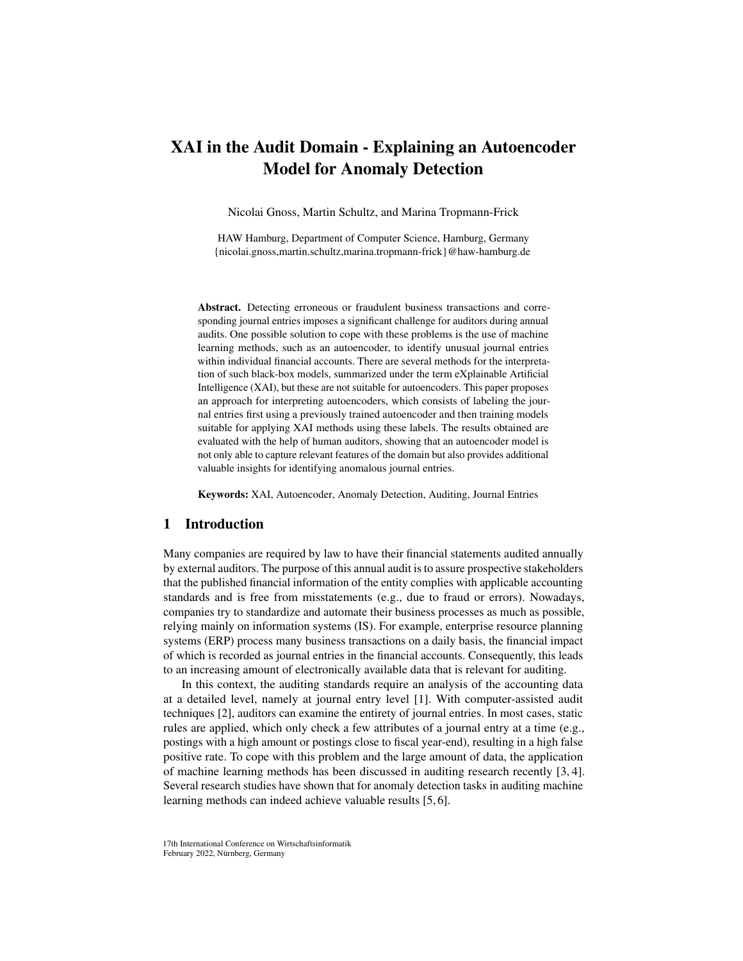## XAI in the Audit Domain - Explaining an Autoencoder Model for Anomaly Detection

Nicolai Gnoss, Martin Schultz, and Marina Tropmann-Frick

HAW Hamburg, Department of Computer Science, Hamburg, Germany {nicolai.gnoss,martin.schultz,marina.tropmann-frick}@haw-hamburg.de

Abstract. Detecting erroneous or fraudulent business transactions and corresponding journal entries imposes a significant challenge for auditors during annual audits. One possible solution to cope with these problems is the use of machine learning methods, such as an autoencoder, to identify unusual journal entries within individual financial accounts. There are several methods for the interpretation of such black-box models, summarized under the term eXplainable Artificial Intelligence (XAI), but these are not suitable for autoencoders. This paper proposes an approach for interpreting autoencoders, which consists of labeling the journal entries first using a previously trained autoencoder and then training models suitable for applying XAI methods using these labels. The results obtained are evaluated with the help of human auditors, showing that an autoencoder model is not only able to capture relevant features of the domain but also provides additional valuable insights for identifying anomalous journal entries.

Keywords: XAI, Autoencoder, Anomaly Detection, Auditing, Journal Entries

#### 1 Introduction

Many companies are required by law to have their financial statements audited annually by external auditors. The purpose of this annual audit is to assure prospective stakeholders that the published financial information of the entity complies with applicable accounting standards and is free from misstatements (e.g., due to fraud or errors). Nowadays, companies try to standardize and automate their business processes as much as possible, relying mainly on information systems (IS). For example, enterprise resource planning systems (ERP) process many business transactions on a daily basis, the financial impact of which is recorded as journal entries in the financial accounts. Consequently, this leads to an increasing amount of electronically available data that is relevant for auditing.

In this context, the auditing standards require an analysis of the accounting data at a detailed level, namely at journal entry level [\[1\]](#page-12-0). With computer-assisted audit techniques [\[2\]](#page-12-1), auditors can examine the entirety of journal entries. In most cases, static rules are applied, which only check a few attributes of a journal entry at a time (e.g., postings with a high amount or postings close to fiscal year-end), resulting in a high false positive rate. To cope with this problem and the large amount of data, the application of machine learning methods has been discussed in auditing research recently [\[3,](#page-12-2) [4\]](#page-12-3). Several research studies have shown that for anomaly detection tasks in auditing machine learning methods can indeed achieve valuable results [\[5,](#page-12-4) [6\]](#page-12-5).

<sup>17</sup>th International Conference on Wirtschaftsinformatik February 2022, Nürnberg, Germany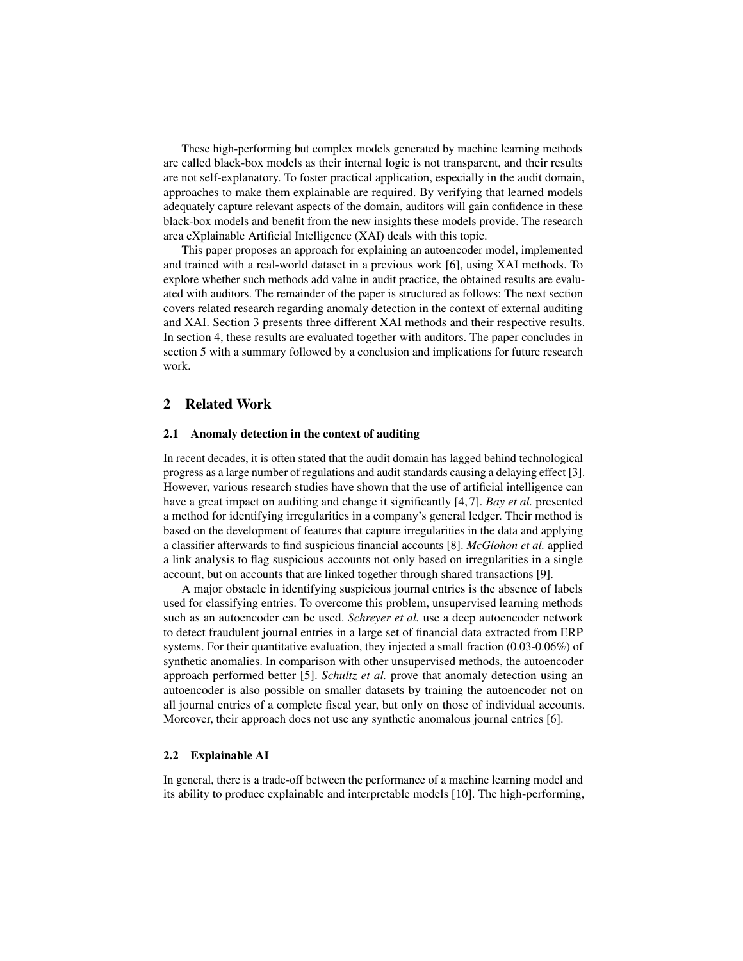These high-performing but complex models generated by machine learning methods are called black-box models as their internal logic is not transparent, and their results are not self-explanatory. To foster practical application, especially in the audit domain, approaches to make them explainable are required. By verifying that learned models adequately capture relevant aspects of the domain, auditors will gain confidence in these black-box models and benefit from the new insights these models provide. The research area eXplainable Artificial Intelligence (XAI) deals with this topic.

This paper proposes an approach for explaining an autoencoder model, implemented and trained with a real-world dataset in a previous work [\[6\]](#page-12-5), using XAI methods. To explore whether such methods add value in audit practice, the obtained results are evaluated with auditors. The remainder of the paper is structured as follows: The next section covers related research regarding anomaly detection in the context of external auditing and XAI. Section 3 presents three different XAI methods and their respective results. In section 4, these results are evaluated together with auditors. The paper concludes in section 5 with a summary followed by a conclusion and implications for future research work.

#### 2 Related Work

#### 2.1 Anomaly detection in the context of auditing

In recent decades, it is often stated that the audit domain has lagged behind technological progress as a large number of regulations and audit standards causing a delaying effect [\[3\]](#page-12-2). However, various research studies have shown that the use of artificial intelligence can have a great impact on auditing and change it significantly [\[4,](#page-12-3) [7\]](#page-12-6). *Bay et al.* presented a method for identifying irregularities in a company's general ledger. Their method is based on the development of features that capture irregularities in the data and applying a classifier afterwards to find suspicious financial accounts [\[8\]](#page-12-7). *McGlohon et al.* applied a link analysis to flag suspicious accounts not only based on irregularities in a single account, but on accounts that are linked together through shared transactions [\[9\]](#page-12-8).

A major obstacle in identifying suspicious journal entries is the absence of labels used for classifying entries. To overcome this problem, unsupervised learning methods such as an autoencoder can be used. *Schreyer et al.* use a deep autoencoder network to detect fraudulent journal entries in a large set of financial data extracted from ERP systems. For their quantitative evaluation, they injected a small fraction  $(0.03-0.06\%)$  of synthetic anomalies. In comparison with other unsupervised methods, the autoencoder approach performed better [\[5\]](#page-12-4). *Schultz et al.* prove that anomaly detection using an autoencoder is also possible on smaller datasets by training the autoencoder not on all journal entries of a complete fiscal year, but only on those of individual accounts. Moreover, their approach does not use any synthetic anomalous journal entries [\[6\]](#page-12-5).

#### 2.2 Explainable AI

In general, there is a trade-off between the performance of a machine learning model and its ability to produce explainable and interpretable models [\[10\]](#page-12-9). The high-performing,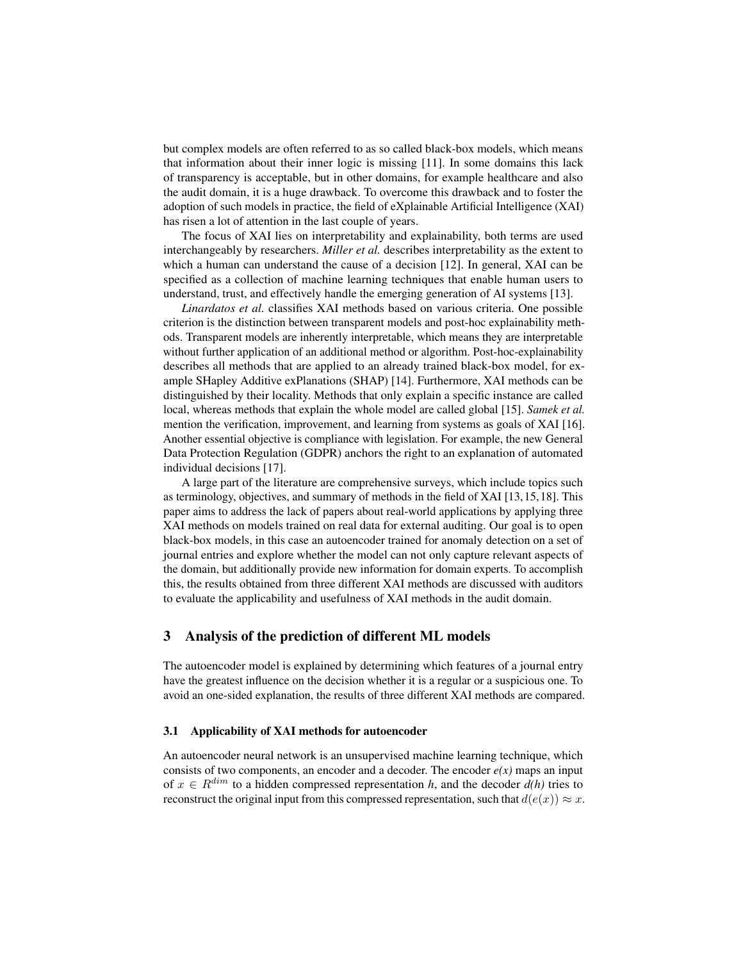but complex models are often referred to as so called black-box models, which means that information about their inner logic is missing [\[11\]](#page-12-10). In some domains this lack of transparency is acceptable, but in other domains, for example healthcare and also the audit domain, it is a huge drawback. To overcome this drawback and to foster the adoption of such models in practice, the field of eXplainable Artificial Intelligence (XAI) has risen a lot of attention in the last couple of years.

The focus of XAI lies on interpretability and explainability, both terms are used interchangeably by researchers. *Miller et al.* describes interpretability as the extent to which a human can understand the cause of a decision [\[12\]](#page-12-11). In general, XAI can be specified as a collection of machine learning techniques that enable human users to understand, trust, and effectively handle the emerging generation of AI systems [\[13\]](#page-12-12).

*Linardatos et al.* classifies XAI methods based on various criteria. One possible criterion is the distinction between transparent models and post-hoc explainability methods. Transparent models are inherently interpretable, which means they are interpretable without further application of an additional method or algorithm. Post-hoc-explainability describes all methods that are applied to an already trained black-box model, for example SHapley Additive exPlanations (SHAP) [\[14\]](#page-12-13). Furthermore, XAI methods can be distinguished by their locality. Methods that only explain a specific instance are called local, whereas methods that explain the whole model are called global [\[15\]](#page-12-14). *Samek et al.* mention the verification, improvement, and learning from systems as goals of XAI [\[16\]](#page-12-15). Another essential objective is compliance with legislation. For example, the new General Data Protection Regulation (GDPR) anchors the right to an explanation of automated individual decisions [\[17\]](#page-12-16).

A large part of the literature are comprehensive surveys, which include topics such as terminology, objectives, and summary of methods in the field of XAI [\[13,](#page-12-12)[15,](#page-12-14)[18\]](#page-12-17). This paper aims to address the lack of papers about real-world applications by applying three XAI methods on models trained on real data for external auditing. Our goal is to open black-box models, in this case an autoencoder trained for anomaly detection on a set of journal entries and explore whether the model can not only capture relevant aspects of the domain, but additionally provide new information for domain experts. To accomplish this, the results obtained from three different XAI methods are discussed with auditors to evaluate the applicability and usefulness of XAI methods in the audit domain.

#### 3 Analysis of the prediction of different ML models

The autoencoder model is explained by determining which features of a journal entry have the greatest influence on the decision whether it is a regular or a suspicious one. To avoid an one-sided explanation, the results of three different XAI methods are compared.

#### 3.1 Applicability of XAI methods for autoencoder

An autoencoder neural network is an unsupervised machine learning technique, which consists of two components, an encoder and a decoder. The encoder  $e(x)$  maps an input of  $x \in R^{dim}$  to a hidden compressed representation h, and the decoder  $d(h)$  tries to reconstruct the original input from this compressed representation, such that  $d(e(x)) \approx x$ .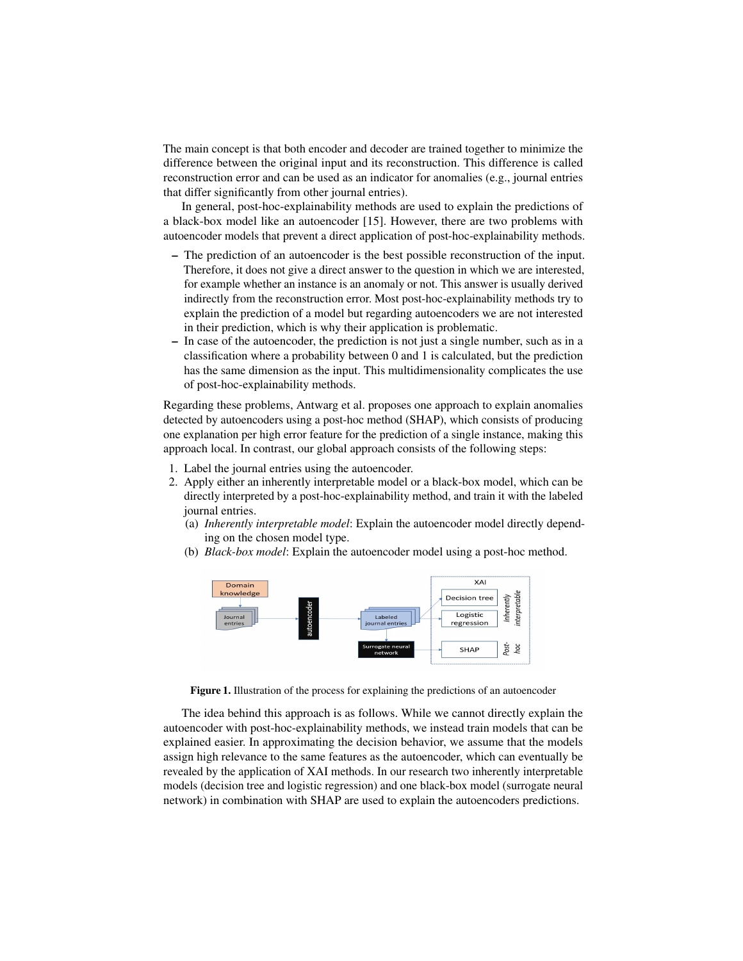The main concept is that both encoder and decoder are trained together to minimize the difference between the original input and its reconstruction. This difference is called reconstruction error and can be used as an indicator for anomalies (e.g., journal entries that differ significantly from other journal entries).

In general, post-hoc-explainability methods are used to explain the predictions of a black-box model like an autoencoder [\[15\]](#page-12-14). However, there are two problems with autoencoder models that prevent a direct application of post-hoc-explainability methods.

- The prediction of an autoencoder is the best possible reconstruction of the input. Therefore, it does not give a direct answer to the question in which we are interested, for example whether an instance is an anomaly or not. This answer is usually derived indirectly from the reconstruction error. Most post-hoc-explainability methods try to explain the prediction of a model but regarding autoencoders we are not interested in their prediction, which is why their application is problematic.
- In case of the autoencoder, the prediction is not just a single number, such as in a classification where a probability between 0 and 1 is calculated, but the prediction has the same dimension as the input. This multidimensionality complicates the use of post-hoc-explainability methods.

Regarding these problems, Antwarg et al. proposes one approach to explain anomalies detected by autoencoders using a post-hoc method (SHAP), which consists of producing one explanation per high error feature for the prediction of a single instance, making this approach local. In contrast, our global approach consists of the following steps:

- 1. Label the journal entries using the autoencoder.
- 2. Apply either an inherently interpretable model or a black-box model, which can be directly interpreted by a post-hoc-explainability method, and train it with the labeled journal entries.
	- (a) *Inherently interpretable model*: Explain the autoencoder model directly depending on the chosen model type.
	- (b) *Black-box model*: Explain the autoencoder model using a post-hoc method.



Figure 1. Illustration of the process for explaining the predictions of an autoencoder

The idea behind this approach is as follows. While we cannot directly explain the autoencoder with post-hoc-explainability methods, we instead train models that can be explained easier. In approximating the decision behavior, we assume that the models assign high relevance to the same features as the autoencoder, which can eventually be revealed by the application of XAI methods. In our research two inherently interpretable models (decision tree and logistic regression) and one black-box model (surrogate neural network) in combination with SHAP are used to explain the autoencoders predictions.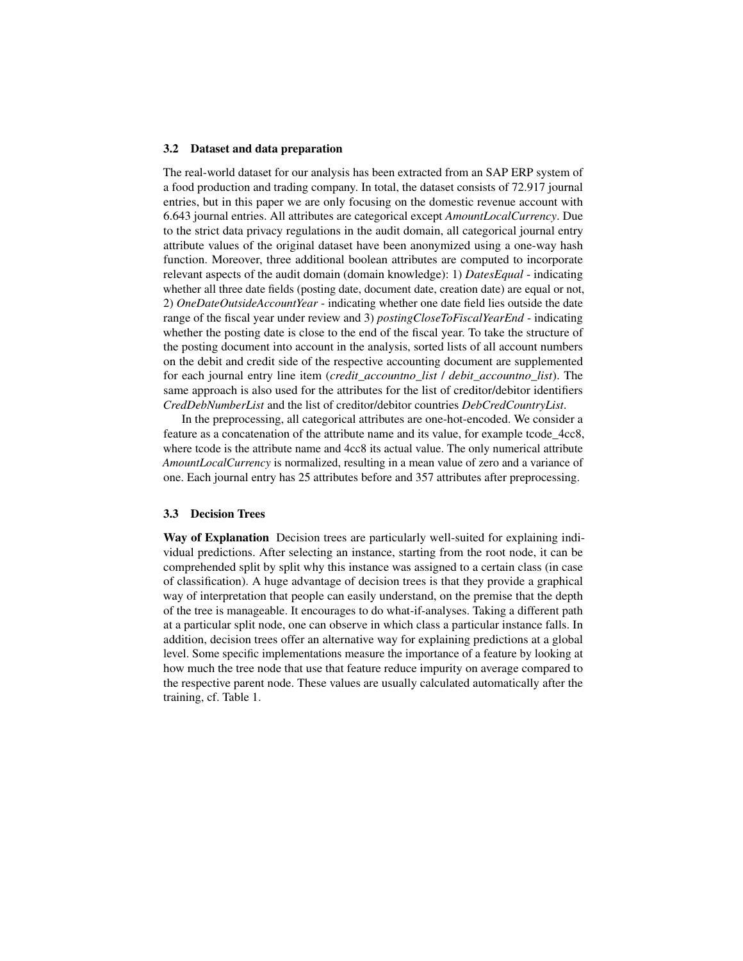#### 3.2 Dataset and data preparation

The real-world dataset for our analysis has been extracted from an SAP ERP system of a food production and trading company. In total, the dataset consists of 72.917 journal entries, but in this paper we are only focusing on the domestic revenue account with 6.643 journal entries. All attributes are categorical except *AmountLocalCurrency*. Due to the strict data privacy regulations in the audit domain, all categorical journal entry attribute values of the original dataset have been anonymized using a one-way hash function. Moreover, three additional boolean attributes are computed to incorporate relevant aspects of the audit domain (domain knowledge): 1) *DatesEqual* - indicating whether all three date fields (posting date, document date, creation date) are equal or not. 2) *OneDateOutsideAccountYear* - indicating whether one date field lies outside the date range of the fiscal year under review and 3) *postingCloseToFiscalYearEnd* - indicating whether the posting date is close to the end of the fiscal year. To take the structure of the posting document into account in the analysis, sorted lists of all account numbers on the debit and credit side of the respective accounting document are supplemented for each journal entry line item (*credit\_accountno\_list* / *debit\_accountno\_list*). The same approach is also used for the attributes for the list of creditor/debitor identifiers *CredDebNumberList* and the list of creditor/debitor countries *DebCredCountryList*.

In the preprocessing, all categorical attributes are one-hot-encoded. We consider a feature as a concatenation of the attribute name and its value, for example tcode\_4cc8, where tcode is the attribute name and 4cc8 its actual value. The only numerical attribute *AmountLocalCurrency* is normalized, resulting in a mean value of zero and a variance of one. Each journal entry has 25 attributes before and 357 attributes after preprocessing.

#### 3.3 Decision Trees

Way of Explanation Decision trees are particularly well-suited for explaining individual predictions. After selecting an instance, starting from the root node, it can be comprehended split by split why this instance was assigned to a certain class (in case of classification). A huge advantage of decision trees is that they provide a graphical way of interpretation that people can easily understand, on the premise that the depth of the tree is manageable. It encourages to do what-if-analyses. Taking a different path at a particular split node, one can observe in which class a particular instance falls. In addition, decision trees offer an alternative way for explaining predictions at a global level. Some specific implementations measure the importance of a feature by looking at how much the tree node that use that feature reduce impurity on average compared to the respective parent node. These values are usually calculated automatically after the training, cf. Table 1.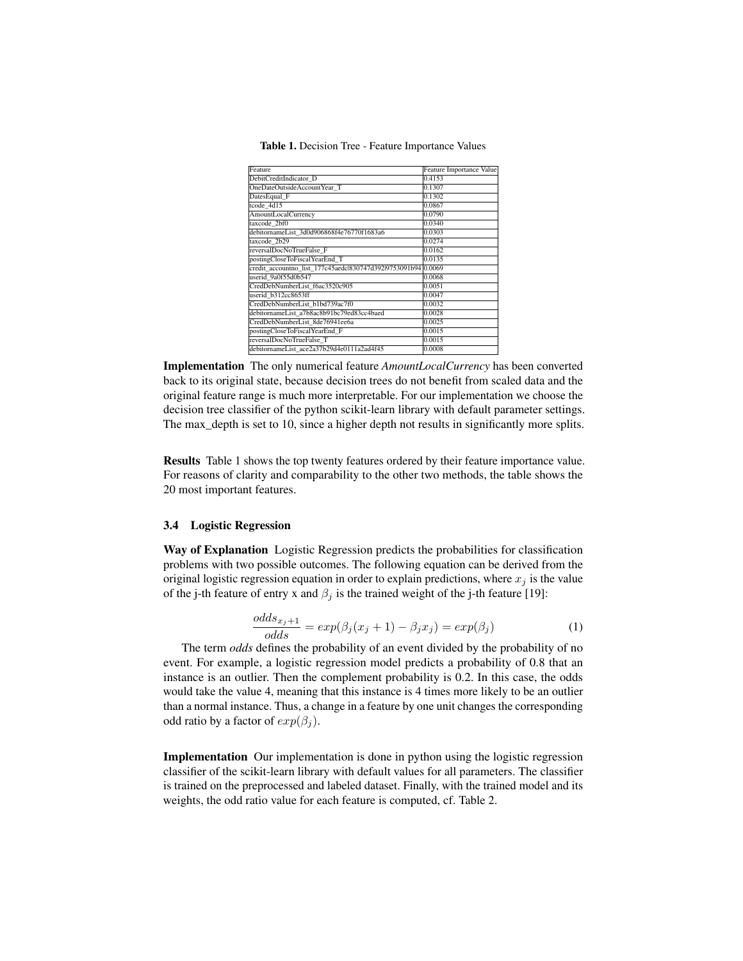<span id="page-6-0"></span>

| Feature                                                       | Feature Importance Value |
|---------------------------------------------------------------|--------------------------|
| DebitCreditIndicator D                                        | 0.4153                   |
| OneDateOutsideAccountYear T                                   | 0.1307                   |
| DatesEqual F                                                  | 0.1302                   |
| tcode 4d15                                                    | 0.0867                   |
| AmountLocalCurrency                                           | 0.0790                   |
| taxcode 2bf0                                                  | 0.0340                   |
| debitornameList 3d0d906868f4e76770f1683a6                     | 0.0303                   |
| taxcode 2b29                                                  | 0.0274                   |
| reversalDocNoTrueFalse F                                      | 0.0162                   |
| postingCloseToFiscalYearEnd_T                                 | 0.0135                   |
| credit_accountno_list_177c45aedcl830747d392l9753091b94 0.0069 |                          |
| userid 9a0f55d0b547                                           | 0.0068                   |
| CredDebNumberList f6ac3520c905                                | 0.0051                   |
| userid b312cc8653ff                                           | 0.0047                   |
| CredDebNumberList b1bd739ac7f0                                | 0.0032                   |
| debitornameList a7b8ac8b91bc79ed83cc4baed                     | 0.0028                   |
| CredDebNumberList 8de76941ee6a                                | 0.0025                   |
| postingCloseToFiscalYearEnd F                                 | 0.0015                   |
| reversalDocNoTrueFalse T                                      | 0.0015                   |
| debitornameList_ace2a37b29d4e0111a2ad4f45                     | 0.0008                   |

Table 1. Decision Tree - Feature Importance Values

Implementation The only numerical feature *AmountLocalCurrency* has been converted back to its original state, because decision trees do not benefit from scaled data and the original feature range is much more interpretable. For our implementation we choose the decision tree classifier of the python scikit-learn library with default parameter settings. The max\_depth is set to 10, since a higher depth not results in significantly more splits.

Results Table [1](#page-6-0) shows the top twenty features ordered by their feature importance value. For reasons of clarity and comparability to the other two methods, the table shows the 20 most important features.

#### 3.4 Logistic Regression

Way of Explanation Logistic Regression predicts the probabilities for classification problems with two possible outcomes. The following equation can be derived from the original logistic regression equation in order to explain predictions, where  $x_i$  is the value of the j-th feature of entry x and  $\beta_j$  is the trained weight of the j-th feature [\[19\]](#page-12-18):

$$
\frac{odds_{x_j+1}}{odds} = exp(\beta_j(x_j+1) - \beta_j x_j) = exp(\beta_j)
$$
\n(1)

The term *odds* defines the probability of an event divided by the probability of no event. For example, a logistic regression model predicts a probability of 0.8 that an instance is an outlier. Then the complement probability is 0.2. In this case, the odds would take the value 4, meaning that this instance is 4 times more likely to be an outlier than a normal instance. Thus, a change in a feature by one unit changes the corresponding odd ratio by a factor of  $exp(\beta_i)$ .

Implementation Our implementation is done in python using the logistic regression classifier of the scikit-learn library with default values for all parameters. The classifier is trained on the preprocessed and labeled dataset. Finally, with the trained model and its weights, the odd ratio value for each feature is computed, cf. Table 2.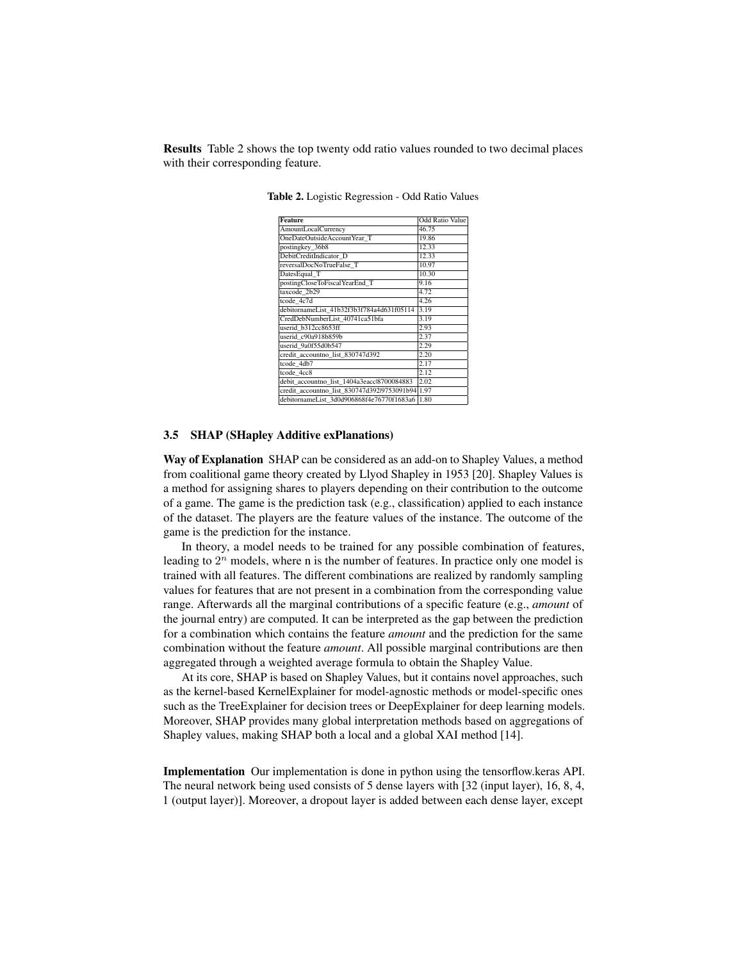<span id="page-7-0"></span>Results Table [2](#page-7-0) shows the top twenty odd ratio values rounded to two decimal places with their corresponding feature.

| Feature                                          | <b>Odd Ratio Value</b> |  |  |  |  |
|--------------------------------------------------|------------------------|--|--|--|--|
| AmountLocalCurrency                              | 46.75                  |  |  |  |  |
| OneDateOutsideAccountYear T                      | 19.86                  |  |  |  |  |
| postingkey 36b8                                  | 12.33                  |  |  |  |  |
| DebitCreditIndicator D                           | 12.33                  |  |  |  |  |
| reversalDocNoTrueFalse T                         | 10.97                  |  |  |  |  |
| DatesEqual T                                     | 10.30                  |  |  |  |  |
| postingCloseToFiscalYearEnd T                    | 9.16                   |  |  |  |  |
| taxcode 2b29                                     | 4.72                   |  |  |  |  |
| tcode $4c7d$                                     | 4.26                   |  |  |  |  |
| debitornameList 41b32f3b3f784a4d631f05114        | 3.19                   |  |  |  |  |
| CredDebNumberList 40741ca51bfa                   | 3.19                   |  |  |  |  |
| userid b312cc8653ff                              | 2.93                   |  |  |  |  |
| userid_c90a918b859b                              | 2.37                   |  |  |  |  |
| userid 9a0f55d0b547                              | 2.29                   |  |  |  |  |
| credit accountno list 830747d392                 | 2.20                   |  |  |  |  |
| tcode 4db7                                       | 2.17                   |  |  |  |  |
| tcode 4cc8                                       | 2.12                   |  |  |  |  |
| debit accountno list 1404a3eaccl8700084883       | 2.02                   |  |  |  |  |
| credit accountno list 830747d392l9753091b94 1.97 |                        |  |  |  |  |
| debitornameList 3d0d906868f4e76770f1683a6 1.80   |                        |  |  |  |  |

Table 2. Logistic Regression - Odd Ratio Values

#### 3.5 SHAP (SHapley Additive exPlanations)

Way of Explanation SHAP can be considered as an add-on to Shapley Values, a method from coalitional game theory created by Llyod Shapley in 1953 [\[20\]](#page-12-19). Shapley Values is a method for assigning shares to players depending on their contribution to the outcome of a game. The game is the prediction task (e.g., classification) applied to each instance of the dataset. The players are the feature values of the instance. The outcome of the game is the prediction for the instance.

In theory, a model needs to be trained for any possible combination of features, leading to  $2^n$  models, where n is the number of features. In practice only one model is trained with all features. The different combinations are realized by randomly sampling values for features that are not present in a combination from the corresponding value range. Afterwards all the marginal contributions of a specific feature (e.g., *amount* of the journal entry) are computed. It can be interpreted as the gap between the prediction for a combination which contains the feature *amount* and the prediction for the same combination without the feature *amount*. All possible marginal contributions are then aggregated through a weighted average formula to obtain the Shapley Value.

At its core, SHAP is based on Shapley Values, but it contains novel approaches, such as the kernel-based KernelExplainer for model-agnostic methods or model-specific ones such as the TreeExplainer for decision trees or DeepExplainer for deep learning models. Moreover, SHAP provides many global interpretation methods based on aggregations of Shapley values, making SHAP both a local and a global XAI method [\[14\]](#page-12-13).

Implementation Our implementation is done in python using the tensorflow.keras API. The neural network being used consists of 5 dense layers with [32 (input layer), 16, 8, 4, 1 (output layer)]. Moreover, a dropout layer is added between each dense layer, except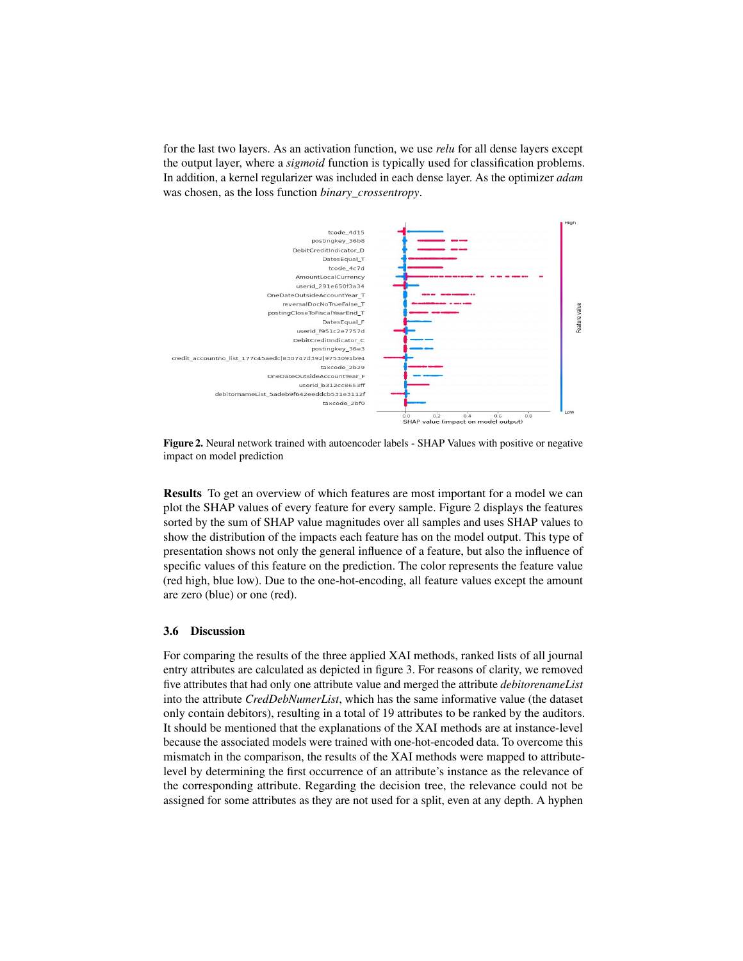for the last two layers. As an activation function, we use *relu* for all dense layers except the output layer, where a *sigmoid* function is typically used for classification problems. In addition, a kernel regularizer was included in each dense layer. As the optimizer *adam* was chosen, as the loss function *binary\_crossentropy*.

<span id="page-8-0"></span>

Figure 2. Neural network trained with autoencoder labels - SHAP Values with positive or negative impact on model prediction

Results To get an overview of which features are most important for a model we can plot the SHAP values of every feature for every sample. Figure [2](#page-8-0) displays the features sorted by the sum of SHAP value magnitudes over all samples and uses SHAP values to show the distribution of the impacts each feature has on the model output. This type of presentation shows not only the general influence of a feature, but also the influence of specific values of this feature on the prediction. The color represents the feature value (red high, blue low). Due to the one-hot-encoding, all feature values except the amount are zero (blue) or one (red).

#### 3.6 Discussion

For comparing the results of the three applied XAI methods, ranked lists of all journal entry attributes are calculated as depicted in figure [3.](#page-9-0) For reasons of clarity, we removed five attributes that had only one attribute value and merged the attribute *debitorenameList* into the attribute *CredDebNumerList*, which has the same informative value (the dataset only contain debitors), resulting in a total of 19 attributes to be ranked by the auditors. It should be mentioned that the explanations of the XAI methods are at instance-level because the associated models were trained with one-hot-encoded data. To overcome this mismatch in the comparison, the results of the XAI methods were mapped to attributelevel by determining the first occurrence of an attribute's instance as the relevance of the corresponding attribute. Regarding the decision tree, the relevance could not be assigned for some attributes as they are not used for a split, even at any depth. A hyphen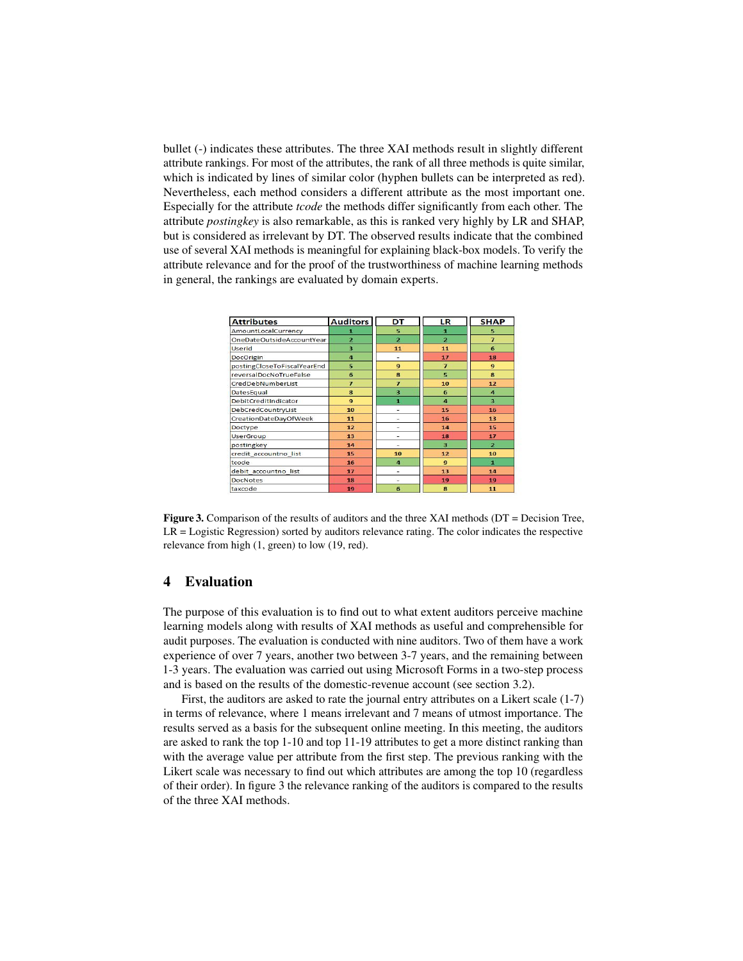bullet (-) indicates these attributes. The three XAI methods result in slightly different attribute rankings. For most of the attributes, the rank of all three methods is quite similar, which is indicated by lines of similar color (hyphen bullets can be interpreted as red). Nevertheless, each method considers a different attribute as the most important one. Especially for the attribute *tcode* the methods differ significantly from each other. The attribute *postingkey* is also remarkable, as this is ranked very highly by LR and SHAP, but is considered as irrelevant by DT. The observed results indicate that the combined use of several XAI methods is meaningful for explaining black-box models. To verify the attribute relevance and for the proof of the trustworthiness of machine learning methods in general, the rankings are evaluated by domain experts.

<span id="page-9-0"></span>

| <b>Attributes</b>           | <b>Auditors</b> | DT             | LR             | <b>SHAP</b>             |
|-----------------------------|-----------------|----------------|----------------|-------------------------|
| AmountLocalCurrency         | ٠               | 5              | a.             | 5                       |
| OneDateOutsideAccountYear   | $\overline{a}$  | $\overline{2}$ | $\overline{2}$ | $\overline{z}$          |
| <b>Userid</b>               | 3               | 11             | 11             | 6                       |
| DocOrigin                   | $\overline{a}$  | ٠              | 17             | 18                      |
| postingCloseToFiscalYearEnd | 5               | $\mathbf{9}$   | $\overline{ }$ | $\mathbf{q}$            |
| reversalDocNoTrueFalse      | 6               | 8              | 5              | $\mathbf{R}$            |
| CredDebNumberList           | $\overline{z}$  | $\overline{z}$ | 10             | 12                      |
| DatesEqual                  | $\bf{8}$        | $\overline{a}$ | 6              | $\overline{\mathbf{A}}$ |
| DebitCreditIndicator        | $\mathbf{q}$    | $\blacksquare$ | $\overline{a}$ | $\overline{\mathbf{z}}$ |
| DebCredCountryList          | 10              | ٠              | 15             | 16                      |
| CreationDateDayOfWeek       | 11              | ٠              | 16             | 13                      |
| Doctype                     | 12              | ٠              | 14             | 15                      |
| <b>UserGroup</b>            | 13              |                | 18             | 17                      |
| postingkey                  | 14              | ٠              | $\overline{a}$ | $\overline{2}$          |
| credit accountno list       | 15              | 10             | 12             | 10                      |
| tcode                       | 16              | $\overline{a}$ | $\mathbf{9}$   | л                       |
| debit accountno list        | 17              | ۰              | 13             | 14                      |
| <b>DocNotes</b>             | 18              | ٠              | 19             | 19                      |
| taxcode                     | 19              | 6              | 8              | 11                      |

Figure 3. Comparison of the results of auditors and the three XAI methods (DT = Decision Tree, LR = Logistic Regression) sorted by auditors relevance rating. The color indicates the respective relevance from high (1, green) to low (19, red).

#### 4 Evaluation

The purpose of this evaluation is to find out to what extent auditors perceive machine learning models along with results of XAI methods as useful and comprehensible for audit purposes. The evaluation is conducted with nine auditors. Two of them have a work experience of over 7 years, another two between 3-7 years, and the remaining between 1-3 years. The evaluation was carried out using Microsoft Forms in a two-step process and is based on the results of the domestic-revenue account (see section 3.2).

First, the auditors are asked to rate the journal entry attributes on a Likert scale (1-7) in terms of relevance, where 1 means irrelevant and 7 means of utmost importance. The results served as a basis for the subsequent online meeting. In this meeting, the auditors are asked to rank the top 1-10 and top 11-19 attributes to get a more distinct ranking than with the average value per attribute from the first step. The previous ranking with the Likert scale was necessary to find out which attributes are among the top 10 (regardless of their order). In figure [3](#page-9-0) the relevance ranking of the auditors is compared to the results of the three XAI methods.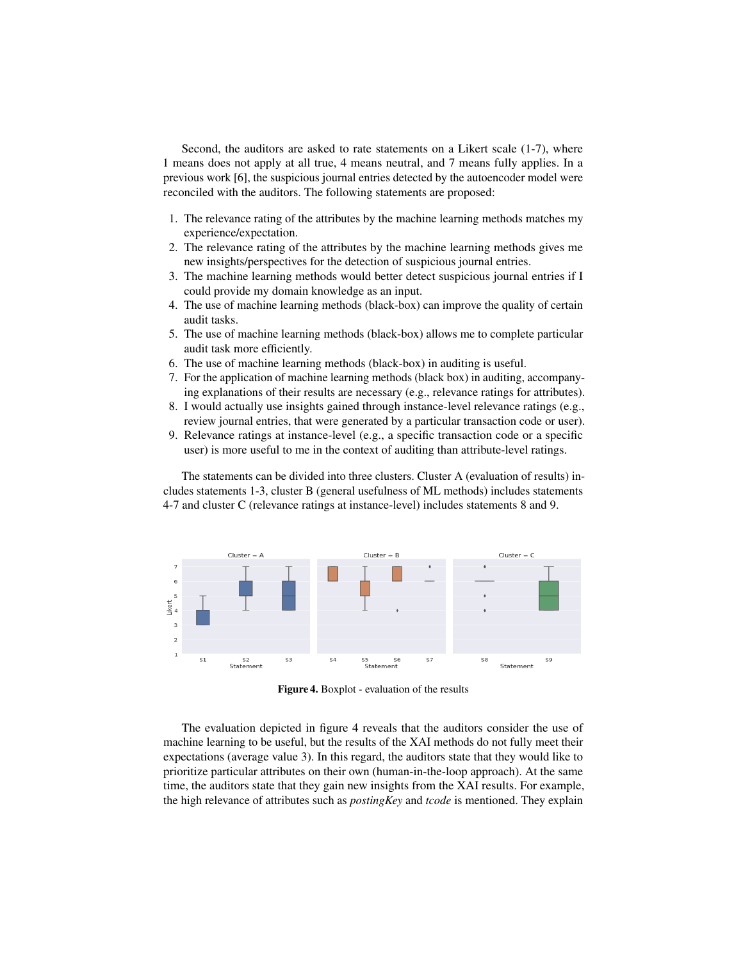Second, the auditors are asked to rate statements on a Likert scale (1-7), where 1 means does not apply at all true, 4 means neutral, and 7 means fully applies. In a previous work [\[6\]](#page-12-5), the suspicious journal entries detected by the autoencoder model were reconciled with the auditors. The following statements are proposed:

- 1. The relevance rating of the attributes by the machine learning methods matches my experience/expectation.
- 2. The relevance rating of the attributes by the machine learning methods gives me new insights/perspectives for the detection of suspicious journal entries.
- 3. The machine learning methods would better detect suspicious journal entries if I could provide my domain knowledge as an input.
- 4. The use of machine learning methods (black-box) can improve the quality of certain audit tasks.
- 5. The use of machine learning methods (black-box) allows me to complete particular audit task more efficiently.
- 6. The use of machine learning methods (black-box) in auditing is useful.
- 7. For the application of machine learning methods (black box) in auditing, accompanying explanations of their results are necessary (e.g., relevance ratings for attributes).
- 8. I would actually use insights gained through instance-level relevance ratings (e.g., review journal entries, that were generated by a particular transaction code or user).
- 9. Relevance ratings at instance-level (e.g., a specific transaction code or a specific user) is more useful to me in the context of auditing than attribute-level ratings.

The statements can be divided into three clusters. Cluster A (evaluation of results) includes statements 1-3, cluster B (general usefulness of ML methods) includes statements 4-7 and cluster C (relevance ratings at instance-level) includes statements 8 and 9.

<span id="page-10-0"></span>

Figure 4. Boxplot - evaluation of the results

The evaluation depicted in figure [4](#page-10-0) reveals that the auditors consider the use of machine learning to be useful, but the results of the XAI methods do not fully meet their expectations (average value 3). In this regard, the auditors state that they would like to prioritize particular attributes on their own (human-in-the-loop approach). At the same time, the auditors state that they gain new insights from the XAI results. For example, the high relevance of attributes such as *postingKey* and *tcode* is mentioned. They explain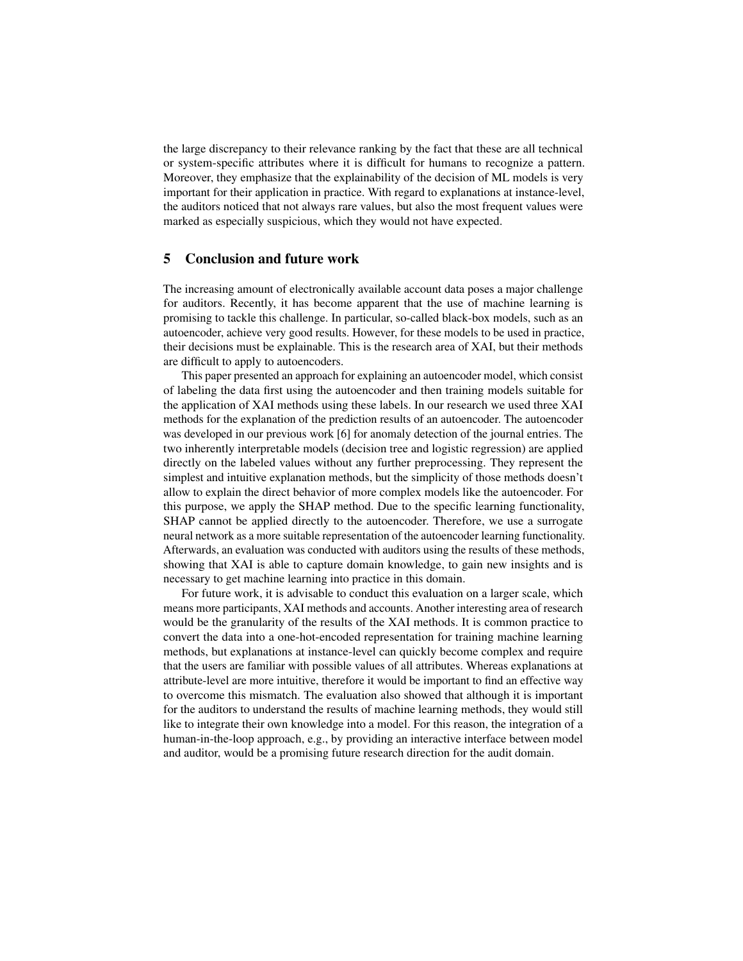the large discrepancy to their relevance ranking by the fact that these are all technical or system-specific attributes where it is difficult for humans to recognize a pattern. Moreover, they emphasize that the explainability of the decision of ML models is very important for their application in practice. With regard to explanations at instance-level, the auditors noticed that not always rare values, but also the most frequent values were marked as especially suspicious, which they would not have expected.

#### 5 Conclusion and future work

The increasing amount of electronically available account data poses a major challenge for auditors. Recently, it has become apparent that the use of machine learning is promising to tackle this challenge. In particular, so-called black-box models, such as an autoencoder, achieve very good results. However, for these models to be used in practice, their decisions must be explainable. This is the research area of XAI, but their methods are difficult to apply to autoencoders.

This paper presented an approach for explaining an autoencoder model, which consist of labeling the data first using the autoencoder and then training models suitable for the application of XAI methods using these labels. In our research we used three XAI methods for the explanation of the prediction results of an autoencoder. The autoencoder was developed in our previous work [\[6\]](#page-12-5) for anomaly detection of the journal entries. The two inherently interpretable models (decision tree and logistic regression) are applied directly on the labeled values without any further preprocessing. They represent the simplest and intuitive explanation methods, but the simplicity of those methods doesn't allow to explain the direct behavior of more complex models like the autoencoder. For this purpose, we apply the SHAP method. Due to the specific learning functionality, SHAP cannot be applied directly to the autoencoder. Therefore, we use a surrogate neural network as a more suitable representation of the autoencoder learning functionality. Afterwards, an evaluation was conducted with auditors using the results of these methods, showing that XAI is able to capture domain knowledge, to gain new insights and is necessary to get machine learning into practice in this domain.

For future work, it is advisable to conduct this evaluation on a larger scale, which means more participants, XAI methods and accounts. Another interesting area of research would be the granularity of the results of the XAI methods. It is common practice to convert the data into a one-hot-encoded representation for training machine learning methods, but explanations at instance-level can quickly become complex and require that the users are familiar with possible values of all attributes. Whereas explanations at attribute-level are more intuitive, therefore it would be important to find an effective way to overcome this mismatch. The evaluation also showed that although it is important for the auditors to understand the results of machine learning methods, they would still like to integrate their own knowledge into a model. For this reason, the integration of a human-in-the-loop approach, e.g., by providing an interactive interface between model and auditor, would be a promising future research direction for the audit domain.